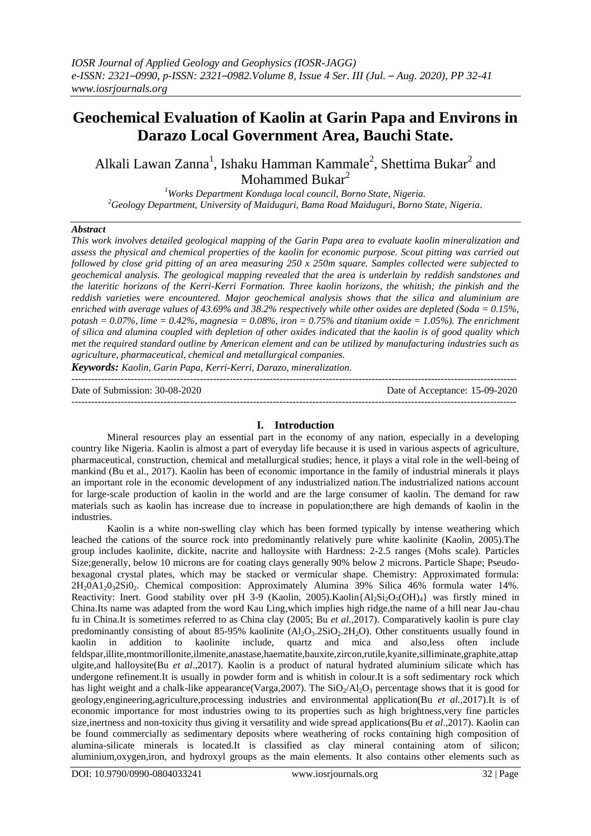# **Geochemical Evaluation of Kaolin at Garin Papa and Environs in Darazo Local Government Area, Bauchi State.**

Alkali Lawan Zanna<sup>1</sup>, Ishaku Hamman Kammale<sup>2</sup>, Shettima Bukar<sup>2</sup> and Mohammed Bukar<sup>2</sup>

*<sup>1</sup>Works Department Konduga local council, Borno State, Nigeria. <sup>2</sup>Geology Department, University of Maiduguri, Bama Road Maiduguri, Borno State, Nigeria.*

#### *Abstract*

*This work involves detailed geological mapping of the Garin Papa area to evaluate kaolin mineralization and assess the physical and chemical properties of the kaolin for economic purpose. Scout pitting was carried out followed by close grid pitting of an area measuring 250 x 250m square. Samples collected were subjected to geochemical analysis. The geological mapping revealed that the area is underlain by reddish sandstones and the lateritic horizons of the Kerri-Kerri Formation. Three kaolin horizons, the whitish; the pinkish and the reddish varieties were encountered. Major geochemical analysis shows that the silica and aluminium are enriched with average values of 43.69% and 38.2% respectively while other oxides are depleted (Soda = 0.15%, potash = 0.07%, lime = 0.42%, magnesia = 0.08%, iron = 0.75% and titanium oxide = 1.05%). The enrichment of silica and alumina coupled with depletion of other oxides indicated that the kaolin is of good quality which met the required standard outline by American element and can be utilized by manufacturing industries such as agriculture, pharmaceutical, chemical and metallurgical companies.*

*Keywords: Kaolin, Garin Papa, Kerri-Kerri, Darazo, mineralization.*

 $-1.1$ Date of Submission: 30-08-2020 Date of Acceptance: 15-09-2020

---------------------------------------------------------------------------------------------------------------------------------------

# **I. Introduction**

Mineral resources play an essential part in the economy of any nation, especially in a developing country like Nigeria. Kaolin is almost a part of everyday life because it is used in various aspects of agriculture, pharmaceutical, construction, chemical and metallurgical studies; hence, it plays a vital role in the well-being of mankind (Bu et al., 2017). Kaolin has been of economic importance in the family of industrial minerals it plays an important role in the economic development of any industrialized nation.The industrialized nations account for large-scale production of kaolin in the world and are the large consumer of kaolin. The demand for raw materials such as kaolin has increase due to increase in population;there are high demands of kaolin in the industries.

Kaolin is a white non-swelling clay which has been formed typically by intense weathering which leached the cations of the source rock into predominantly relatively pure white kaolinite (Kaolin, 2005).The group includes kaolinite, dickite, nacrite and halloysite with Hardness: 2-2.5 ranges (Mohs scale). Particles Size;generally, below 10 microns are for coating clays generally 90% below 2 microns. Particle Shape; Pseudohexagonal crystal plates, which may be stacked or vermicular shape. Chemistry: Approximated formula: 2H20A12032Si02. Chemical composition: Approximately Alumina 39% Silica 46% formula water 14%. Reactivity: Inert. Good stability over pH 3-9 (Kaolin, 2005).Kaolin{Al<sub>2</sub>Si<sub>2</sub>O<sub>5</sub>(OH)<sub>4</sub>} was firstly mined in China.Its name was adapted from the word Kau Ling,which implies high ridge,the name of a hill near Jau-chau fu in China.It is sometimes referred to as China clay (2005; Bu *et al.,*2017). Comparatively kaolin is pure clay predominantly consisting of about 85-95% kaolinite  $(A<sub>1</sub>, O<sub>3</sub>, 2SiO<sub>2</sub>, 2H<sub>2</sub>O)$ . Other constituents usually found in kaolin in addition to kaolinite include, quartz and mica and also,less often include feldspar,illite,montmorillonite,ilmenite,anastase,haematite,bauxite,zircon,rutile,kyanite,silliminate,graphite,attap ulgite,and halloysite(Bu *et al*.,2017). Kaolin is a product of natural hydrated aluminium silicate which has undergone refinement.It is usually in powder form and is whitish in colour.It is a soft sedimentary rock which has light weight and a chalk-like appearance(Varga, 2007). The  $SiO<sub>2</sub>/Al<sub>2</sub>O<sub>3</sub>$  percentage shows that it is good for geology,engineering,agriculture,processing industries and environmental application(Bu *et al.,*2017).It is of economic importance for most industries owing to its properties such as high brightness,very fine particles size,inertness and non-toxicity thus giving it versatility and wide spread applications(Bu *et al*.,2017). Kaolin can be found commercially as sedimentary deposits where weathering of rocks containing high composition of alumina-silicate minerals is located.It is classified as clay mineral containing atom of silicon; aluminium,oxygen,iron, and hydroxyl groups as the main elements. It also contains other elements such as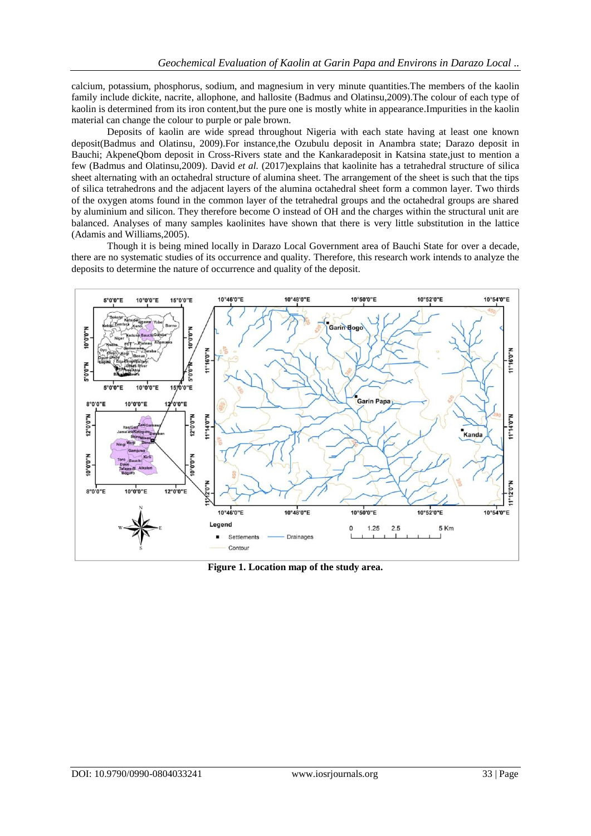calcium, potassium, phosphorus, sodium, and magnesium in very minute quantities.The members of the kaolin family include dickite, nacrite, allophone, and hallosite (Badmus and Olatinsu,2009).The colour of each type of kaolin is determined from its iron content,but the pure one is mostly white in appearance.Impurities in the kaolin material can change the colour to purple or pale brown.

Deposits of kaolin are wide spread throughout Nigeria with each state having at least one known deposit(Badmus and Olatinsu, 2009).For instance,the Ozubulu deposit in Anambra state; Darazo deposit in Bauchi; AkpeneQbom deposit in Cross-Rivers state and the Kankaradeposit in Katsina state,just to mention a few (Badmus and Olatinsu,2009). David *et al.* (2017)explains that kaolinite has a tetrahedral structure of silica sheet alternating with an octahedral structure of alumina sheet. The arrangement of the sheet is such that the tips of silica tetrahedrons and the adjacent layers of the alumina octahedral sheet form a common layer. Two thirds of the oxygen atoms found in the common layer of the tetrahedral groups and the octahedral groups are shared by aluminium and silicon. They therefore become O instead of OH and the charges within the structural unit are balanced. Analyses of many samples kaolinites have shown that there is very little substitution in the lattice (Adamis and Williams,2005).

Though it is being mined locally in Darazo Local Government area of Bauchi State for over a decade, there are no systematic studies of its occurrence and quality. Therefore, this research work intends to analyze the deposits to determine the nature of occurrence and quality of the deposit.



**Figure 1. Location map of the study area.**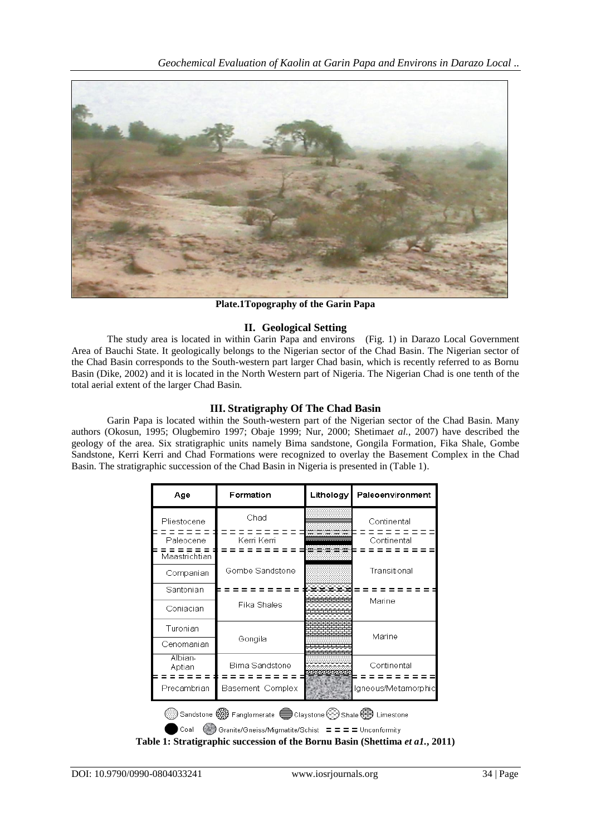

**Plate.1Topography of the Garin Papa**

# **II. Geological Setting**

The study area is located in within Garin Papa and environs (Fig. 1) in Darazo Local Government Area of Bauchi State. It geologically belongs to the Nigerian sector of the Chad Basin. The Nigerian sector of the Chad Basin corresponds to the South-western part larger Chad basin, which is recently referred to as Bornu Basin (Dike, 2002) and it is located in the North Western part of Nigeria. The Nigerian Chad is one tenth of the total aerial extent of the larger Chad Basin.

# **III. Stratigraphy Of The Chad Basin**

Garin Papa is located within the South-western part of the Nigerian sector of the Chad Basin. Many authors (Okosun, 1995; Olugbemiro 1997; Obaje 1999; Nur, 2000; Shetima*et al.*, 2007) have described the geology of the area. Six stratigraphic units namely Bima sandstone, Gongila Formation, Fika Shale, Gombe Sandstone, Kerri Kerri and Chad Formations were recognized to overlay the Basement Complex in the Chad Basin. The stratigraphic succession of the Chad Basin in Nigeria is presented in (Table 1).

| Age                                                                      | Formation        | Lithology | Paleoenvironment    |  |  |  |  |  |
|--------------------------------------------------------------------------|------------------|-----------|---------------------|--|--|--|--|--|
| Pliestocene                                                              | Chad             |           | Continental         |  |  |  |  |  |
| Paleocene                                                                | Kerri Kerri      |           | Continental         |  |  |  |  |  |
| Maastrichtian                                                            |                  |           |                     |  |  |  |  |  |
| Companian                                                                | Gombe Sandstone  |           | Transitional        |  |  |  |  |  |
| Santonian                                                                |                  |           |                     |  |  |  |  |  |
| Coniacian                                                                | Fika Shales      |           | Marine              |  |  |  |  |  |
| Turonian                                                                 |                  |           |                     |  |  |  |  |  |
| Cenomanian                                                               | Gongila          |           | Marine              |  |  |  |  |  |
| Albian-<br>Aptian                                                        | Bima Sandstone   |           | Continental         |  |  |  |  |  |
| Precambrian                                                              | Basement Complex |           | Igneous/Metamorphic |  |  |  |  |  |
| Sandstone (%) Fanglomerate C Claystone (---) Shale $\bigoplus$ Limestone |                  |           |                     |  |  |  |  |  |
| Coal<br>Granite/Gneiss/Migmatite/Schist = = = = Unconformity             |                  |           |                     |  |  |  |  |  |

**Table 1: Stratigraphic succession of the Bornu Basin (Shettima** *et a1.***, 2011)**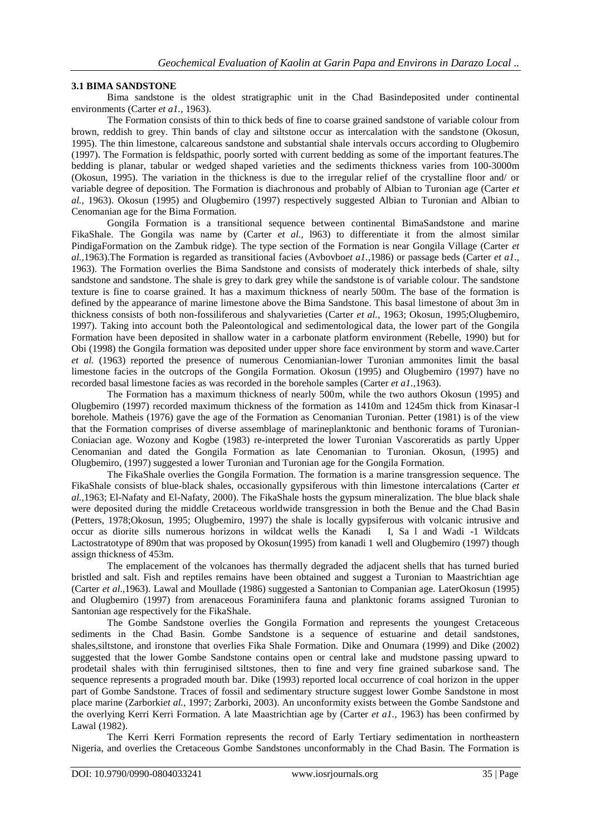#### **3.1 BIMA SANDSTONE**

Bima sandstone is the oldest stratigraphic unit in the Chad Basindeposited under continental environments (Carter *et a1.,* 1963).

The Formation consists of thin to thick beds of fine to coarse grained sandstone of variable colour from brown, reddish to grey. Thin bands of clay and siltstone occur as intercalation with the sandstone (Okosun, 1995). The thin limestone, calcareous sandstone and substantial shale intervals occurs according to Olugbemiro (1997). The Formation is feldspathic, poorly sorted with current bedding as some of the important features.The bedding is planar, tabular or wedged shaped varieties and the sediments thickness varies from 100-3000m (Okosun, 1995). The variation in the thickness is due to the irregular relief of the crystalline floor and/ or variable degree of deposition. The Formation is diachronous and probably of Albian to Turonian age (Carter *et al.,* 1963). Okosun (1995) and Olugbemiro (1997) respectively suggested Albian to Turonian and Albian to Cenomanian age for the Bima Formation.

Gongila Formation is a transitional sequence between continental BimaSandstone and marine FikaShale. The Gongila was name by (Carter *et al.*, 1963) to differentiate it from the almost similar PindigaFormation on the Zambuk ridge). The type section of the Formation is near Gongila Village (Carter *et al.,*1963).The Formation is regarded as transitional facies (Avbovbo*et a1.,*1986) or passage beds (Carter *et a1.,* 1963). The Formation overlies the Bima Sandstone and consists of moderately thick interbeds of shale, silty sandstone and sandstone. The shale is grey to dark grey while the sandstone is of variable colour. The sandstone texture is fine to coarse grained. It has a maximum thickness of nearly 500m. The base of the formation is defined by the appearance of marine limestone above the Bima Sandstone. This basal limestone of about 3m in thickness consists of both non-fossiliferous and shalyvarieties (Carter *et al.*, 1963; Okosun, 1995;Olugbemiro, 1997). Taking into account both the Paleontological and sedimentological data, the lower part of the Gongila Formation have been deposited in shallow water in a carbonate platform environment (Rebelle, 1990) but for Obi (1998) the Gongila formation was deposited under upper shore face environment by storm and wave.Carter *et al.* (1963) reported the presence of numerous Cenomianian-lower Turonian ammonites limit the basal limestone facies in the outcrops of the Gongila Formation. Okosun (1995) and Olugbemiro (1997) have no recorded basal limestone facies as was recorded in the borehole samples (Carter *et a1.,*1963).

The Formation has a maximum thickness of nearly 500m, while the two authors Okosun (1995) and Olugbemiro (1997) recorded maximum thickness of the formation as 1410m and 1245m thick from Kinasar-l borehole. Matheis (1976) gave the age of the Formation as Cenomanian Turonian. Petter (1981) is of the view that the Formation comprises of diverse assemblage of marineplanktonic and benthonic forams of Turonian-Coniacian age. Wozony and Kogbe (1983) re-interpreted the lower Turonian Vascoreratids as partly Upper Cenomanian and dated the Gongila Formation as late Cenomanian to Turonian. Okosun, (1995) and Olugbemiro, (1997) suggested a lower Turonian and Turonian age for the Gongila Formation.

The FikaShale overlies the Gongila Formation. The formation is a marine transgression sequence. The FikaShale consists of blue-black shales, occasionally gypsiferous with thin limestone intercalations (Carter *et al.,*1963; El-Nafaty and El-Nafaty, 2000). The FikaShale hosts the gypsum mineralization. The blue black shale were deposited during the middle Cretaceous worldwide transgression in both the Benue and the Chad Basin (Petters, 1978;Okosun, 1995; Olugbemiro, 1997) the shale is locally gypsiferous with volcanic intrusive and occur as diorite sills numerous horizons in wildcat wells the Kanadi I, Sa l and Wadi -1 Wildcats Lactostratotype of 890m that was proposed by Okosun(1995) from kanadi 1 well and Olugbemiro (1997) though assign thickness of 453m.

The emplacement of the volcanoes has thermally degraded the adjacent shells that has turned buried bristled and salt. Fish and reptiles remains have been obtained and suggest a Turonian to Maastrichtian age (Carter *et al.,*1963). Lawal and Moullade (1986) suggested a Santonian to Companian age. LaterOkosun (1995) and Olugbemiro (1997) from arenaceous Foraminifera fauna and planktonic forams assigned Turonian to Santonian age respectively for the FikaShale.

The Gombe Sandstone overlies the Gongila Formation and represents the youngest Cretaceous sediments in the Chad Basin. Gombe Sandstone is a sequence of estuarine and detail sandstones, shales,siltstone, and ironstone that overlies Fika Shale Formation. Dike and Onumara (1999) and Dike (2002) suggested that the lower Gombe Sandstone contains open or central lake and mudstone passing upward to prodetail shales with thin ferruginised siltstones, then to fine and very fine grained subarkose sand. The sequence represents a prograded mouth bar. Dike (1993) reported local occurrence of coal horizon in the upper part of Gombe Sandstone. Traces of fossil and sedimentary structure suggest lower Gombe Sandstone in most place marine (Zarborki*et al.,* 1997; Zarborki, 2003). An unconformity exists between the Gombe Sandstone and the overlying Kerri Kerri Formation. A late Maastrichtian age by (Carter *et a1.,* 1963) has been confirmed by Lawal (1982).

The Kerri Kerri Formation represents the record of Early Tertiary sedimentation in northeastern Nigeria, and overlies the Cretaceous Gombe Sandstones unconformably in the Chad Basin. The Formation is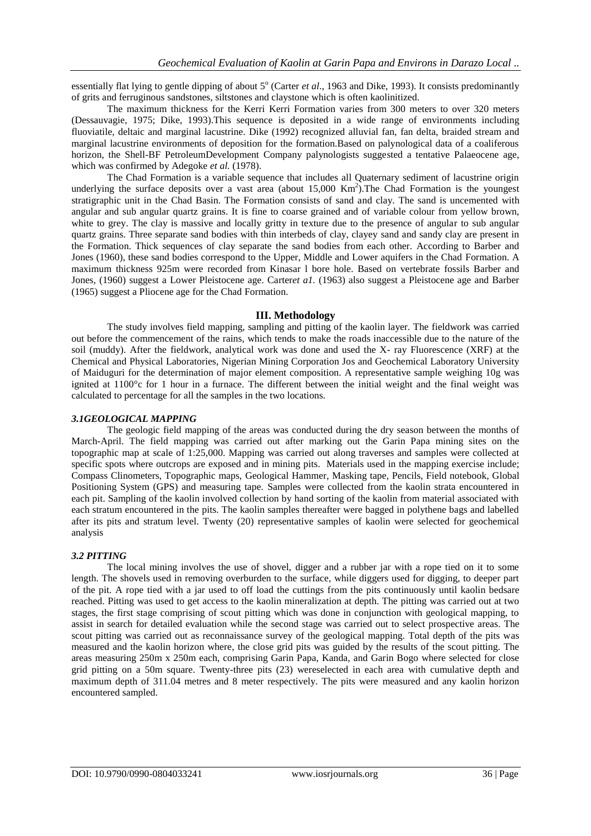essentially flat lying to gentle dipping of about 5<sup>°</sup> (Carter *et al.*, 1963 and Dike, 1993). It consists predominantly of grits and ferruginous sandstones, siltstones and claystone which is often kaolinitized.

The maximum thickness for the Kerri Kerri Formation varies from 300 meters to over 320 meters (Dessauvagie, 1975; Dike, 1993).This sequence is deposited in a wide range of environments including fluoviatile, deltaic and marginal lacustrine. Dike (1992) recognized alluvial fan, fan delta, braided stream and marginal lacustrine environments of deposition for the formation.Based on palynological data of a coaliferous horizon, the Shell-BF PetroleumDevelopment Company palynologists suggested a tentative Palaeocene age, which was confirmed by Adegoke *et al.* (1978).

The Chad Formation is a variable sequence that includes all Quaternary sediment of lacustrine origin underlying the surface deposits over a vast area (about  $15,000 \text{ Km}^2$ ). The Chad Formation is the youngest stratigraphic unit in the Chad Basin. The Formation consists of sand and clay. The sand is uncemented with angular and sub angular quartz grains. It is fine to coarse grained and of variable colour from yellow brown, white to grey. The clay is massive and locally gritty in texture due to the presence of angular to sub angular quartz grains. Three separate sand bodies with thin interbeds of clay, clayey sand and sandy clay are present in the Formation. Thick sequences of clay separate the sand bodies from each other. According to Barber and Jones (1960), these sand bodies correspond to the Upper, Middle and Lower aquifers in the Chad Formation. A maximum thickness 925m were recorded from Kinasar l bore hole. Based on vertebrate fossils Barber and Jones, (1960) suggest a Lower Pleistocene age. Carter*et a1.* (1963) also suggest a Pleistocene age and Barber (1965) suggest a Pliocene age for the Chad Formation.

#### **III. Methodology**

The study involves field mapping, sampling and pitting of the kaolin layer. The fieldwork was carried out before the commencement of the rains, which tends to make the roads inaccessible due to the nature of the soil (muddy). After the fieldwork, analytical work was done and used the X- ray Fluorescence (XRF) at the Chemical and Physical Laboratories, Nigerian Mining Corporation Jos and Geochemical Laboratory University of Maiduguri for the determination of major element composition. A representative sample weighing 10g was ignited at 1100°c for 1 hour in a furnace. The different between the initial weight and the final weight was calculated to percentage for all the samples in the two locations.

#### *3.1GEOLOGICAL MAPPING*

The geologic field mapping of the areas was conducted during the dry season between the months of March-April. The field mapping was carried out after marking out the Garin Papa mining sites on the topographic map at scale of 1:25,000. Mapping was carried out along traverses and samples were collected at specific spots where outcrops are exposed and in mining pits. Materials used in the mapping exercise include; Compass Clinometers, Topographic maps, Geological Hammer, Masking tape, Pencils, Field notebook, Global Positioning System (GPS) and measuring tape. Samples were collected from the kaolin strata encountered in each pit. Sampling of the kaolin involved collection by hand sorting of the kaolin from material associated with each stratum encountered in the pits. The kaolin samples thereafter were bagged in polythene bags and labelled after its pits and stratum level. Twenty (20) representative samples of kaolin were selected for geochemical analysis

# *3.2 PITTING*

The local mining involves the use of shovel, digger and a rubber jar with a rope tied on it to some length. The shovels used in removing overburden to the surface, while diggers used for digging, to deeper part of the pit. A rope tied with a jar used to off load the cuttings from the pits continuously until kaolin bedsare reached. Pitting was used to get access to the kaolin mineralization at depth. The pitting was carried out at two stages, the first stage comprising of scout pitting which was done in conjunction with geological mapping, to assist in search for detailed evaluation while the second stage was carried out to select prospective areas. The scout pitting was carried out as reconnaissance survey of the geological mapping. Total depth of the pits was measured and the kaolin horizon where, the close grid pits was guided by the results of the scout pitting. The areas measuring 250m x 250m each, comprising Garin Papa, Kanda, and Garin Bogo where selected for close grid pitting on a 50m square. Twenty-three pits (23) wereselected in each area with cumulative depth and maximum depth of 311.04 metres and 8 meter respectively. The pits were measured and any kaolin horizon encountered sampled.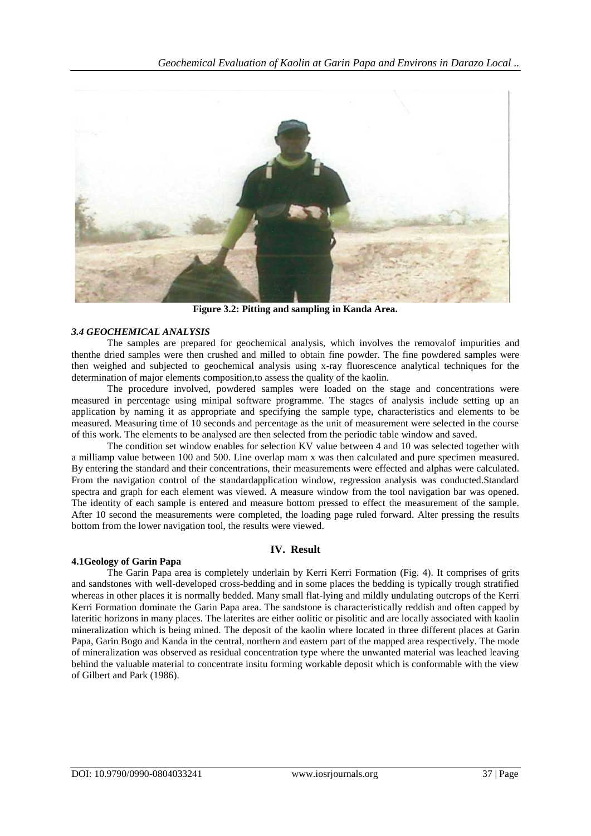

**Figure 3.2: Pitting and sampling in Kanda Area.**

# *3.4 GEOCHEMICAL ANALYSIS*

The samples are prepared for geochemical analysis, which involves the removalof impurities and thenthe dried samples were then crushed and milled to obtain fine powder. The fine powdered samples were then weighed and subjected to geochemical analysis using x-ray fluorescence analytical techniques for the determination of major elements composition,to assess the quality of the kaolin.

The procedure involved, powdered samples were loaded on the stage and concentrations were measured in percentage using minipal software programme. The stages of analysis include setting up an application by naming it as appropriate and specifying the sample type, characteristics and elements to be measured. Measuring time of 10 seconds and percentage as the unit of measurement were selected in the course of this work. The elements to be analysed are then selected from the periodic table window and saved.

The condition set window enables for selection KV value between 4 and 10 was selected together with a milliamp value between 100 and 500. Line overlap mam x was then calculated and pure specimen measured. By entering the standard and their concentrations, their measurements were effected and alphas were calculated. From the navigation control of the standardapplication window, regression analysis was conducted.Standard spectra and graph for each element was viewed. A measure window from the tool navigation bar was opened. The identity of each sample is entered and measure bottom pressed to effect the measurement of the sample. After 10 second the measurements were completed, the loading page ruled forward. Alter pressing the results bottom from the lower navigation tool, the results were viewed.

# **IV. Result**

# **4.1Geology of Garin Papa**

The Garin Papa area is completely underlain by Kerri Kerri Formation (Fig. 4). It comprises of grits and sandstones with well-developed cross-bedding and in some places the bedding is typically trough stratified whereas in other places it is normally bedded. Many small flat-lying and mildly undulating outcrops of the Kerri Kerri Formation dominate the Garin Papa area. The sandstone is characteristically reddish and often capped by lateritic horizons in many places. The laterites are either oolitic or pisolitic and are locally associated with kaolin mineralization which is being mined. The deposit of the kaolin where located in three different places at Garin Papa, Garin Bogo and Kanda in the central, northern and eastern part of the mapped area respectively. The mode of mineralization was observed as residual concentration type where the unwanted material was leached leaving behind the valuable material to concentrate insitu forming workable deposit which is conformable with the view of Gilbert and Park (1986).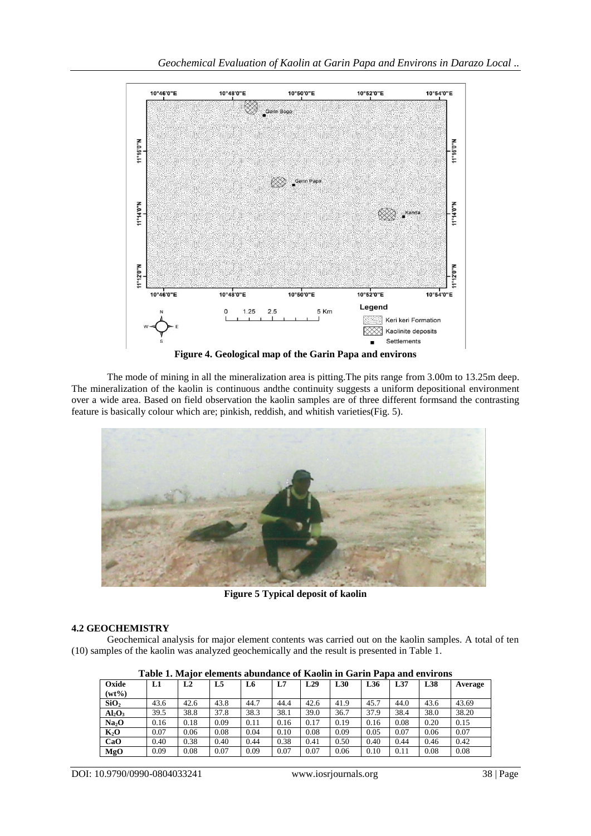

The mode of mining in all the mineralization area is pitting.The pits range from 3.00m to 13.25m deep. The mineralization of the kaolin is continuous andthe continuity suggests a uniform depositional environment over a wide area. Based on field observation the kaolin samples are of three different formsand the contrasting feature is basically colour which are; pinkish, reddish, and whitish varieties(Fig. 5).



**Figure 5 Typical deposit of kaolin**

# **4.2 GEOCHEMISTRY**

Geochemical analysis for major element contents was carried out on the kaolin samples. A total of ten (10) samples of the kaolin was analyzed geochemically and the result is presented in Table 1.

| Table 1, major cientents abundance or ixabilir ili Garilli I apa anu chvirolis |      |      |      |      |      |      |      |      |      |      |         |
|--------------------------------------------------------------------------------|------|------|------|------|------|------|------|------|------|------|---------|
| Oxide                                                                          | L1   | L2   | L5   | L6   | L7   | L29  | L30  | L36  | L37  | L38  | Average |
| $(wt\%)$                                                                       |      |      |      |      |      |      |      |      |      |      |         |
| SiO <sub>2</sub>                                                               | 43.6 | 42.6 | 43.8 | 44.7 | 44.4 | 42.6 | 41.9 | 45.7 | 44.0 | 43.6 | 43.69   |
| Al <sub>2</sub> O <sub>3</sub>                                                 | 39.5 | 38.8 | 37.8 | 38.3 | 38.1 | 39.0 | 36.7 | 37.9 | 38.4 | 38.0 | 38.20   |
| Na <sub>2</sub> O                                                              | 0.16 | 0.18 | 0.09 | 0.11 | 0.16 | 0.17 | 0.19 | 0.16 | 0.08 | 0.20 | 0.15    |
| $K_2O$                                                                         | 0.07 | 0.06 | 0.08 | 0.04 | 0.10 | 0.08 | 0.09 | 0.05 | 0.07 | 0.06 | 0.07    |
| CaO                                                                            | 0.40 | 0.38 | 0.40 | 0.44 | 0.38 | 0.41 | 0.50 | 0.40 | 0.44 | 0.46 | 0.42    |
| MgO                                                                            | 0.09 | 0.08 | 0.07 | 0.09 | 0.07 | 0.07 | 0.06 | 0.10 | 0.11 | 0.08 | 0.08    |

**Table 1. Major elements abundance of Kaolin in Garin Papa and environs**

DOI: 10.9790/0990-0804033241 www.iosrjournals.org 38 | Page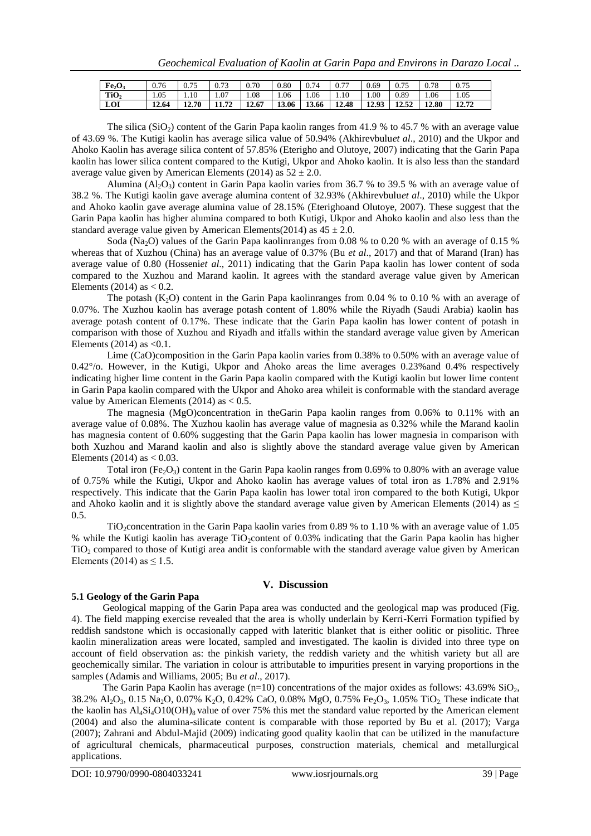| Fe <sub>2</sub> O <sub>3</sub> | 0.76  | 0.75  | 0.73  | 0.70  | 0.80  | 0.74  | $\Omega$<br>0.7 | 0.69  | 0.75  | 0.78  | 0.75  |
|--------------------------------|-------|-------|-------|-------|-------|-------|-----------------|-------|-------|-------|-------|
| TiO <sub>2</sub>               | 1.05  | 1.10  | 1.07  | 1.08  | 1.06  | 1.06  | 1.10            | 1.00  | 0.89  | .06   | 1.05  |
| LOI                            | 12.64 | 12.70 | 11.72 | 12.67 | 13.06 | 13.66 | 12.48           | 12.93 | 12.52 | 12.80 | 12.72 |

The silica (SiO<sub>2</sub>) content of the Garin Papa kaolin ranges from 41.9 % to 45.7 % with an average value of 43.69 %. The Kutigi kaolin has average silica value of 50.94% (Akhirevbulu*et al*., 2010) and the Ukpor and Ahoko Kaolin has average silica content of 57.85% (Eterigho and Olutoye, 2007) indicating that the Garin Papa kaolin has lower silica content compared to the Kutigi, Ukpor and Ahoko kaolin. It is also less than the standard average value given by American Elements (2014) as  $52 \pm 2.0$ .

Alumina ( $A1_2O_3$ ) content in Garin Papa kaolin varies from 36.7 % to 39.5 % with an average value of 38.2 %. The Kutigi kaolin gave average alumina content of 32.93% (Akhirevbulu*et al*., 2010) while the Ukpor and Ahoko kaolin gave average alumina value of 28.15% (Eterighoand Olutoye, 2007). These suggest that the Garin Papa kaolin has higher alumina compared to both Kutigi, Ukpor and Ahoko kaolin and also less than the standard average value given by American Elements(2014) as  $45 \pm 2.0$ .

Soda (Na<sub>2</sub>O) values of the Garin Papa kaolinranges from 0.08 % to 0.20 % with an average of 0.15 % whereas that of Xuzhou (China) has an average value of 0.37% (Bu *et al*., 2017) and that of Marand (Iran) has average value of 0.80 (Hosseni*et al*., 2011) indicating that the Garin Papa kaolin has lower content of soda compared to the Xuzhou and Marand kaolin. It agrees with the standard average value given by American Elements (2014) as  $< 0.2$ .

The potash  $(K_2O)$  content in the Garin Papa kaolinranges from 0.04 % to 0.10 % with an average of 0.07%. The Xuzhou kaolin has average potash content of 1.80% while the Riyadh (Saudi Arabia) kaolin has average potash content of 0.17%. These indicate that the Garin Papa kaolin has lower content of potash in comparison with those of Xuzhou and Riyadh and itfalls within the standard average value given by American Elements  $(2014)$  as  $< 0.1$ .

Lime (CaO)composition in the Garin Papa kaolin varies from 0.38% to 0.50% with an average value of 0.42°/o. However, in the Kutigi, Ukpor and Ahoko areas the lime averages 0.23%and 0.4% respectively indicating higher lime content in the Garin Papa kaolin compared with the Kutigi kaolin but lower lime content in Garin Papa kaolin compared with the Ukpor and Ahoko area whileit is conformable with the standard average value by American Elements (2014) as  $< 0.5$ .

The magnesia (MgO)concentration in theGarin Papa kaolin ranges from 0.06% to 0.11% with an average value of 0.08%. The Xuzhou kaolin has average value of magnesia as 0.32% while the Marand kaolin has magnesia content of 0.60% suggesting that the Garin Papa kaolin has lower magnesia in comparison with both Xuzhou and Marand kaolin and also is slightly above the standard average value given by American Elements (2014) as  $< 0.03$ .

Total iron (Fe<sub>2</sub>O<sub>3</sub>) content in the Garin Papa kaolin ranges from 0.69% to 0.80% with an average value of 0.75% while the Kutigi, Ukpor and Ahoko kaolin has average values of total iron as 1.78% and 2.91% respectively. This indicate that the Garin Papa kaolin has lower total iron compared to the both Kutigi, Ukpor and Ahoko kaolin and it is slightly above the standard average value given by American Elements (2014) as  $\leq$ 0.5.

TiO<sub>2</sub> concentration in the Garin Papa kaolin varies from 0.89 % to 1.10 % with an average value of 1.05 % while the Kutigi kaolin has average TiO<sub>2</sub>content of 0.03% indicating that the Garin Papa kaolin has higher TiO<sub>2</sub> compared to those of Kutigi area andit is conformable with the standard average value given by American Elements (2014) as  $\leq$  1.5.

#### **V. Discussion**

#### **5.1 Geology of the Garin Papa**

Geological mapping of the Garin Papa area was conducted and the geological map was produced (Fig. 4). The field mapping exercise revealed that the area is wholly underlain by Kerri-Kerri Formation typified by reddish sandstone which is occasionally capped with lateritic blanket that is either oolitic or pisolitic. Three kaolin mineralization areas were located, sampled and investigated. The kaolin is divided into three type on account of field observation as: the pinkish variety, the reddish variety and the whitish variety but all are geochemically similar. The variation in colour is attributable to impurities present in varying proportions in the samples (Adamis and Williams, 2005; Bu *et al*., 2017).

The Garin Papa Kaolin has average  $(n=10)$  concentrations of the major oxides as follows: 43.69% SiO<sub>2</sub>, 38.2% Al<sub>2</sub>O<sub>3</sub>, 0.15 Na<sub>2</sub>O, 0.07% K<sub>2</sub>O, 0.42% CaO, 0.08% MgO, 0.75% Fe<sub>2</sub>O<sub>3</sub>, 1.05% TiO<sub>2</sub>. These indicate that the kaolin has  $Al_4Si_4O10(OH)_{8}$  value of over 75% this met the standard value reported by the American element (2004) and also the alumina-silicate content is comparable with those reported by Bu et al. (2017); Varga (2007); Zahrani and Abdul-Majid (2009) indicating good quality kaolin that can be utilized in the manufacture of agricultural chemicals, pharmaceutical purposes, construction materials, chemical and metallurgical applications.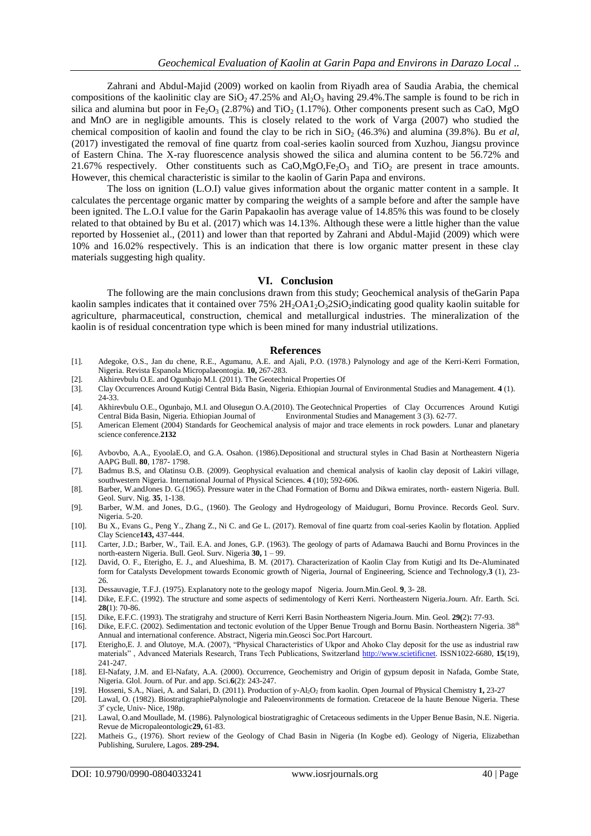Zahrani and Abdul-Majid (2009) worked on kaolin from Riyadh area of Saudia Arabia, the chemical compositions of the kaolinitic clay are  $SiO<sub>2</sub> 47.25%$  and  $Al<sub>2</sub>O<sub>3</sub>$  having 29.4%. The sample is found to be rich in silica and alumina but poor in Fe<sub>2</sub>O<sub>3</sub> (2.87%) and TiO<sub>2</sub> (1.17%). Other components present such as CaO, MgO and MnO are in negligible amounts. This is closely related to the work of Varga (2007) who studied the chemical composition of kaolin and found the clay to be rich in  $SiO<sub>2</sub>$  (46.3%) and alumina (39.8%). Bu *et al,* (2017) investigated the removal of fine quartz from coal-series kaolin sourced from Xuzhou, Jiangsu province of Eastern China. The X-ray fluorescence analysis showed the silica and alumina content to be 56.72% and 21.67% respectively. Other constituents such as  $CaO, MgO, Fe<sub>2</sub>O<sub>3</sub>$  and TiO<sub>2</sub> are present in trace amounts. However, this chemical characteristic is similar to the kaolin of Garin Papa and environs.

The loss on ignition (L.O.I) value gives information about the organic matter content in a sample. It calculates the percentage organic matter by comparing the weights of a sample before and after the sample have been ignited. The L.O.I value for the Garin Papakaolin has average value of 14.85% this was found to be closely related to that obtained by Bu et al. (2017) which was 14.13%. Although these were a little higher than the value reported by Hosseniet al., (2011) and lower than that reported by Zahrani and Abdul-Majid (2009) which were 10% and 16.02% respectively. This is an indication that there is low organic matter present in these clay materials suggesting high quality.

#### **VI. Conclusion**

The following are the main conclusions drawn from this study; Geochemical analysis of theGarin Papa kaolin samples indicates that it contained over  $75\%$   $2H_2OA1_2O_32SiO_2$  indicating good quality kaolin suitable for agriculture, pharmaceutical, construction, chemical and metallurgical industries. The mineralization of the kaolin is of residual concentration type which is been mined for many industrial utilizations.

#### **References**

- [1]. Adegoke, O.S., Jan du chene, R.E., Agumanu, A.E. and Ajali, P.O. (1978.) Palynology and age of the Kerri-Kerri Formation, Nigeria. Revista Espanola Micropalaeontogia. **10,** 267-283.
- [2]. Akhirevbulu O.E. and Ogunbajo M.I. (2011). The Geotechnical Properties Of
- [3]. Clay Occurrences Around Kutigi Central Bida Basin, Nigeria. Ethiopian Journal of Environmental Studies and Management. **4** (1). 24-33.
- [4]. Akhirevbulu O.E., Ogunbajo, M.I. and Olusegun O.A.(2010). The Geotechnical Properties of Clay Occurrences Around Kutigi Central Bida Basin, Nigeria. Ethiopian Journal of Environmental Studies and Management 3 (3). 62-77.
- [5]. American Element (2004) Standards for Geochemical analysis of major and trace elements in rock powders. Lunar and planetary science conference.**2132**
- [6]. Avbovbo, A.A., EyoolaE.O, and G.A. Osahon. (1986).Depositional and structural styles in Chad Basin at Northeastern Nigeria AAPG Bull. **80**, 1787- 1798.
- [7]. Badmus B.S, and Olatinsu O.B. (2009). Geophysical evaluation and chemical analysis of kaolin clay deposit of Lakiri village, southwestern Nigeria. International Journal of Physical Sciences. **4** (10); 592-606.
- [8]. Barber, W.andJones D. G.(1965). Pressure water in the Chad Formation of Bornu and Dikwa emirates, north- eastern Nigeria. Bull. Geol. Surv. Nig. **35**, 1-138.
- [9]. Barber, W.M. and Jones, D.G., (1960). The Geology and Hydrogeology of Maiduguri, Bornu Province. Records Geol. Surv. Nigeria. 5-20.
- [10]. Bu X., Evans G., Peng Y., Zhang Z., Ni C. and Ge L. (2017). Removal of fine quartz from coal-series Kaolin by flotation. Applied Clay Science**143,** 437-444.
- [11]. Carter, J.D.; Barber, W., Tail. E.A. and Jones, G.P. (1963). The geology of parts of Adamawa Bauchi and Bornu Provinces in the north-eastern Nigeria. Bull. Geol. Surv. Nigeria **30,** 1 – 99.
- [12]. David, O. F., Eterigho, E. J., and Alueshima, B. M. (2017). Characterization of Kaolin Clay from Kutigi and Its De-Aluminated form for Catalysts Development towards Economic growth of Nigeria, Journal of Engineering, Science and Technology,**3** (1), 23- 26.
- [13]. Dessauvagie, T.F.J. (1975). Explanatory note to the geology mapof Nigeria. Journ.Min.Geol. **9**, 3- 28.
- [14]. Dike, E.F.C. (1992). The structure and some aspects of sedimentology of Kerri Kerri. Northeastern Nigeria.Journ. Afr. Earth. Sci. **28(**1): 70-86.
- [15]. Dike, E.F.C. (1993). The stratigrahy and structure of Kerri Kerri Basin Northeastern Nigeria.Journ. Min. Geol. **29(**2)**:** 77-93.
- [16]. Dike, E.F.C. (2002). Sedimentation and tectonic evolution of the Upper Benue Trough and Bornu Basin. Northeastern Nigeria. 38<sup>th</sup> Annual and international conference. Abstract, Nigeria min.Geosci Soc.Port Harcourt.
- [17]. Eterigho,E. J. and Olutoye, M.A. (2007), "Physical Characteristics of Ukpor and Ahoko Clay deposit for the use as industrial raw materials" , Advanced Materials Research, Trans Tech Publications, Switzerland [http://www.scietificnet.](http://www.scietificnet/) ISSN1022-6680, **15**(19), 241-247.
- [18]. El-Nafaty, J.M. and El-Nafaty, A.A. (2000). Occurrence, Geochemistry and Origin of gypsum deposit in Nafada, Gombe State, Nigeria. Glol. Journ. of Pur. and app. Sci.**6**(2): 243-247.
- 
- [19]. Hosseni, S.A., Niaei, A. and Salari, D. (2011). Production of y-Al2O<sup>2</sup> from kaolin. Open Journal of Physical Chemistry **1,** 23-27 Lawal, O. (1982). BiostratigraphiePalynologie and Paleoenvironments de formation. Cretaceoe de la haute Benoue Nigeria. These 3 e cycle, Univ- Nice, 198p.
- [21]. Lawal, O.and Moullade, M. (1986). Palynological biostratigraghic of Cretaceous sediments in the Upper Benue Basin, N.E. Nigeria. Revue de Micropaleontologic**29,** 61-83.
- [22]. Matheis G., (1976). Short review of the Geology of Chad Basin in Nigeria (In Kogbe ed). Geology of Nigeria, Elizabethan Publishing, Surulere, Lagos. **289-294.**